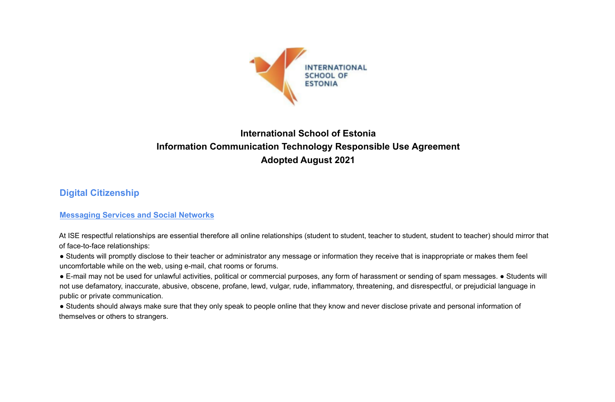

# **International School of Estonia Information Communication Technology Responsible Use Agreement Adopted August 2021**

## **Digital Citizenship**

## **Messaging Services and Social Networks**

At ISE respectful relationships are essential therefore all online relationships (student to student, teacher to student, student to teacher) should mirror that of face-to-face relationships:

● Students will promptly disclose to their teacher or administrator any message or information they receive that is inappropriate or makes them feel uncomfortable while on the web, using e-mail, chat rooms or forums.

● E-mail may not be used for unlawful activities, political or commercial purposes, any form of harassment or sending of spam messages. ● Students will not use defamatory, inaccurate, abusive, obscene, profane, lewd, vulgar, rude, inflammatory, threatening, and disrespectful, or prejudicial language in public or private communication.

● Students should always make sure that they only speak to people online that they know and never disclose private and personal information of themselves or others to strangers.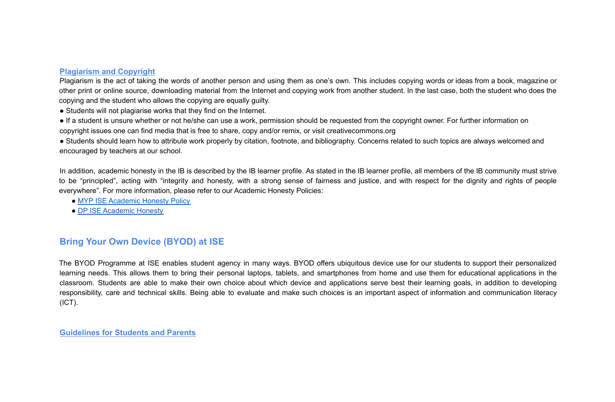### **Plagiarism and Copyright**

Plagiarism is the act of taking the words of another person and using them as one's own. This includes copying words or ideas from a book, magazine or other print or online source, downloading material from the Internet and copying work from another student. In the last case, both the student who does the copying and the student who allows the copying are equally guilty.

- Students will not plagiarise works that they find on the Internet.
- If a student is unsure whether or not he/she can use a work, permission should be requested from the copyright owner. For further information on copyright issues one can find media that is free to share, copy and/or remix, or visit creativecommons.org

• Students should learn how to attribute work properly by citation, footnote, and bibliography. Concerns related to such topics are always welcomed and encouraged by teachers at our school.

In addition, academic honesty in the IB is described by the IB learner profile. As stated in the IB learner profile, all members of the IB community must strive to be "principled", acting with "integrity and honesty, with a strong sense of fairness and justice, and with respect for the dignity and rights of people everywhere". For more information, please refer to our Academic Honesty Policies:

- MYP ISE Academic Honesty Policy
- DP ISE Academic Honesty

## **Bring Your Own Device (BYOD) at ISE**

The BYOD Programme at ISE enables student agency in many ways. BYOD offers ubiquitous device use for our students to support their personalized learning needs. This allows them to bring their personal laptops, tablets, and smartphones from home and use them for educational applications in the classroom. Students are able to make their own choice about which device and applications serve best their learning goals, in addition to developing responsibility, care and technical skills. Being able to evaluate and make such choices is an important aspect of information and communication literacy (ICT).

**Guidelines for Students and Parents**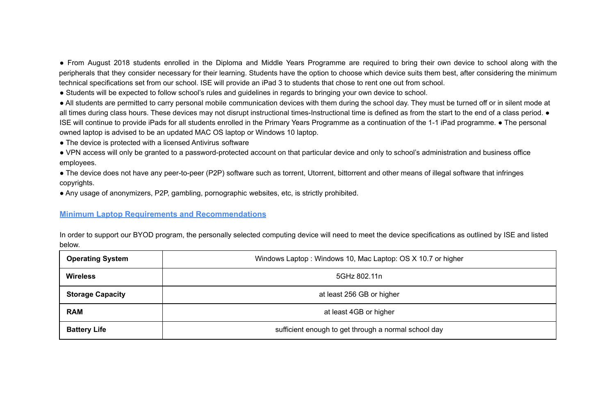● From August 2018 students enrolled in the Diploma and Middle Years Programme are required to bring their own device to school along with the peripherals that they consider necessary for their learning. Students have the option to choose which device suits them best, after considering the minimum technical specifications set from our school. ISE will provide an iPad 3 to students that chose to rent one out from school.

● Students will be expected to follow school's rules and guidelines in regards to bringing your own device to school.

● All students are permitted to carry personal mobile communication devices with them during the school day. They must be turned off or in silent mode at all times during class hours. These devices may not disrupt instructional times-Instructional time is defined as from the start to the end of a class period.  $\bullet$ ISE will continue to provide iPads for all students enrolled in the Primary Years Programme as a continuation of the 1-1 iPad programme. ● The personal owned laptop is advised to be an updated MAC OS laptop or Windows 10 laptop.

• The device is protected with a licensed Antivirus software

● VPN access will only be granted to a password-protected account on that particular device and only to school's administration and business office employees.

● The device does not have any peer-to-peer (P2P) software such as torrent, Utorrent, bittorrent and other means of illegal software that infringes copyrights.

● Any usage of anonymizers, P2P, gambling, pornographic websites, etc, is strictly prohibited.

#### **Minimum Laptop Requirements and Recommendations**

In order to support our BYOD program, the personally selected computing device will need to meet the device specifications as outlined by ISE and listed below.

| <b>Operating System</b> | Windows Laptop: Windows 10, Mac Laptop: OS X 10.7 or higher |
|-------------------------|-------------------------------------------------------------|
| <b>Wireless</b>         | 5GHz 802.11n                                                |
| <b>Storage Capacity</b> | at least 256 GB or higher                                   |
| <b>RAM</b>              | at least 4GB or higher                                      |
| <b>Battery Life</b>     | sufficient enough to get through a normal school day        |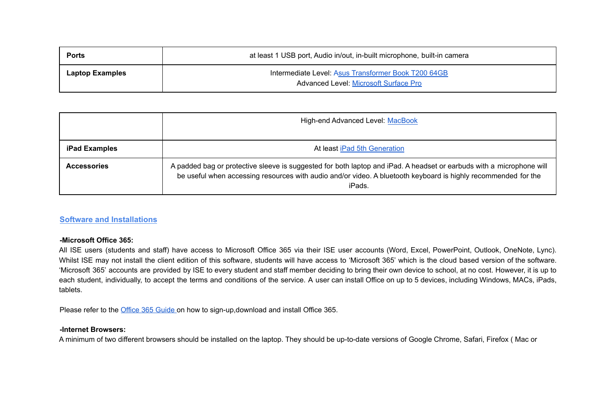| <b>Ports</b>           | at least 1 USB port, Audio in/out, in-built microphone, built-in camera                             |
|------------------------|-----------------------------------------------------------------------------------------------------|
| <b>Laptop Examples</b> | Intermediate Level: Asus Transformer Book T200 64GB<br><b>Advanced Level: Microsoft Surface Pro</b> |

|                      | High-end Advanced Level: MacBook                                                                                                                                                                                                                 |
|----------------------|--------------------------------------------------------------------------------------------------------------------------------------------------------------------------------------------------------------------------------------------------|
| <b>iPad Examples</b> | At least iPad 5th Generation                                                                                                                                                                                                                     |
| <b>Accessories</b>   | A padded bag or protective sleeve is suggested for both laptop and iPad. A headset or earbuds with a microphone will<br>be useful when accessing resources with audio and/or video. A bluetooth keyboard is highly recommended for the<br>iPads. |

### **Software and Installations**

#### **-Microsoft Office 365:**

All ISE users (students and staff) have access to Microsoft Office 365 via their ISE user accounts (Word, Excel, PowerPoint, Outlook, OneNote, Lync). Whilst ISE may not install the client edition of this software, students will have access to 'Microsoft 365' which is the cloud based version of the software. 'Microsoft 365' accounts are provided by ISE to every student and staff member deciding to bring their own device to school, at no cost. However, it is up to each student, individually, to accept the terms and conditions of the service. A user can install Office on up to 5 devices, including Windows, MACs, iPads, tablets.

Please refer to the Office 365 Guide on how to sign-up,download and install Office 365.

#### **-Internet Browsers:**

A minimum of two different browsers should be installed on the laptop. They should be up-to-date versions of Google Chrome, Safari, Firefox ( Mac or